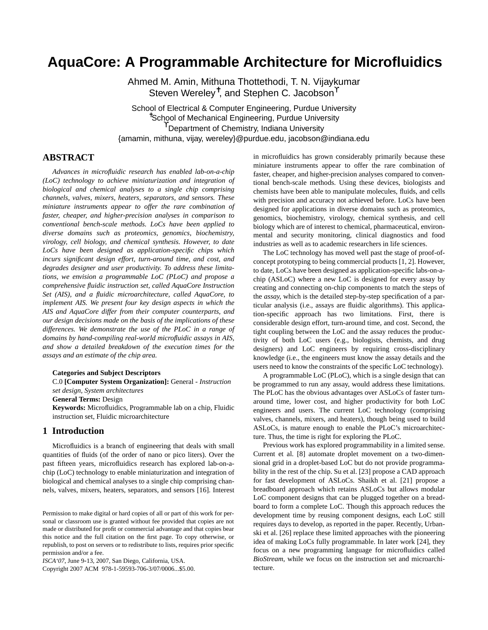# **AquaCore: A Programmable Architecture for Microfluidics**

Ahmed M. Amin, Mithuna Thottethodi, T. N. Vijaykumar Steven Wereley<sup>†</sup>, and Stephen C. Jacobson<sup>r</sup>

School of Electrical & Computer Engineering, Purdue University <sup>†</sup>School of Mechanical Engineering, Purdue University  $\Gamma$ Department of Chemistry, Indiana University {amamin, mithuna, vijay, wereley}@purdue.edu, jacobson@indiana.edu

# **ABSTRACT**

*Advances in microfluidic research has enabled lab-on-a-chip (LoC) technology to achieve miniaturization and integration of biological and chemical analyses to a single chip comprising channels, valves, mixers, heaters, separators, and sensors. These miniature instruments appear to offer the rare combination of faster, cheaper, and higher-precision analyses in comparison to conventional bench-scale methods. LoCs have been applied to diverse domains such as proteomics, genomics, biochemistry, virology, cell biology, and chemical synthesis. However, to date LoCs have been designed as application-specific chips which incurs significant design effort, turn-around time, and cost, and degrades designer and user productivity. To address these limitations, we envision a programmable LoC (PLoC) and propose a comprehensive fluidic instruction set, called AquaCore Instruction Set (AIS), and a fluidic microarchitecture, called AquaCore, to implement AIS. We present four key design aspects in which the AIS and AquaCore differ from their computer counterparts, and our design decisions made on the basis of the implications of these differences. We demonstrate the use of the PLoC in a range of domains by hand-compiling real-world microfluidic assays in AIS, and show a detailed breakdown of the execution times for the assays and an estimate of the chip area.*

#### **Categories and Subject Descriptors**

C.0 **[Computer System Organization]:** General - *Instruction set design, System architectures* **General Terms:** Design **Keywords:** Microfluidics, Programmable lab on a chip, Fluidic

instruction set, Fluidic microarchitecture

# <span id="page-0-0"></span>**1 Introduction**

Microfluidics is a branch of engineering that deals with small quantities of fluids (of the order of nano or pico liters). Over the past fifteen years, microfluidics research has explored lab-on-achip (LoC) technology to enable miniaturization and integration of biological and chemical analyses to a single chip comprising channels, valves, mixers, heaters, separators, and sensors [16]. Interest

*ISCA'07*, June 9*-*13, 2007, San Diego, California, USA.

Copyright 2007 ACM 978-1-59593-706-3/07/0006...\$5.00.

in microfluidics has grown considerably primarily because these miniature instruments appear to offer the rare combination of faster, cheaper, and higher-precision analyses compared to conventional bench-scale methods. Using these devices, biologists and chemists have been able to manipulate molecules, fluids, and cells with precision and accuracy not achieved before. LoCs have been designed for applications in diverse domains such as proteomics, genomics, biochemistry, virology, chemical synthesis, and cell biology which are of interest to chemical, pharmaceutical, environmental and security monitoring, clinical diagnostics and food industries as well as to academic researchers in life sciences.

The LoC technology has moved well past the stage of proof-ofconcept prototyping to being commercial products [1, 2]. However, to date, LoCs have been designed as application-specific labs-on-achip (ASLoC) where a new LoC is designed for every assay by creating and connecting on-chip components to match the steps of the *assay*, which is the detailed step-by-step specification of a particular analysis (i.e., assays are fluidic algorithms). This application-specific approach has two limitations. First, there is considerable design effort, turn-around time, and cost. Second, the tight coupling between the LoC and the assay reduces the productivity of both LoC users (e.g., biologists, chemists, and drug designers) and LoC engineers by requiring cross-disciplinary knowledge (i.e., the engineers must know the assay details and the users need to know the constraints of the specific LoC technology).

A programmable LoC (PLoC), which is a single design that can be programmed to run any assay, would address these limitations. The PLoC has the obvious advantages over ASLoCs of faster turnaround time, lower cost, and higher productivity for both LoC engineers and users. The current LoC technology (comprising valves, channels, mixers, and heaters), though being used to build ASLoCs, is mature enough to enable the PLoC's microarchitecture. Thus, the time is right for exploring the PLoC.

Previous work has explored programmability in a limited sense. Current et al. [8] automate droplet movement on a two-dimensional grid in a droplet-based LoC but do not provide programmability in the rest of the chip. Su et al. [23] propose a CAD approach for fast development of ASLoCs. Shaikh et al. [21] propose a breadboard approach which retains ASLoCs but allows modular LoC component designs that can be plugged together on a breadboard to form a complete LoC. Though this approach reduces the development time by reusing component designs, each LoC still requires days to develop, as reported in the paper. Recently, Urbanski et al. [26] replace these limited approaches with the pioneering idea of making LoCs fully programmable. In later work [24], they focus on a new programming language for microfluidics called *BioStream*, while we focus on the instruction set and microarchitecture.

Permission to make digital or hard copies of all or part of this work for personal or classroom use is granted without fee provided that copies are not made or distributed for profit or commercial advantage and that copies bear this notice and the full citation on the first page. To copy otherwise, or republish, to post on servers or to redistribute to lists, requires prior specific permission and/or a fee.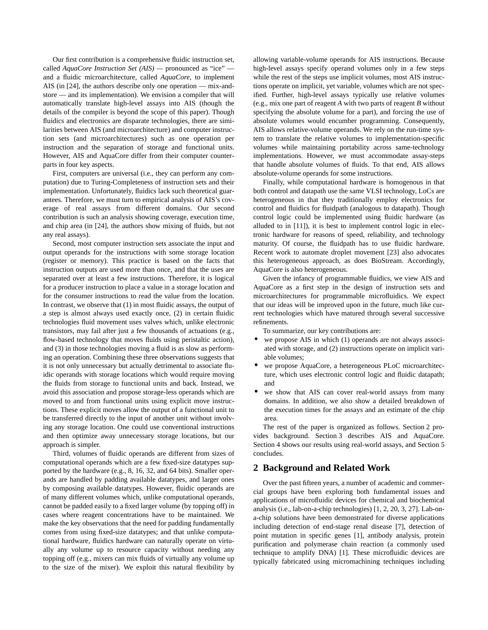Our first contribution is a comprehensive fluidic instruction set, called *AquaCore Instruction Set (AIS) —* pronounced as "ice" and a fluidic microarchitecture, called *AquaCore*, to implement AIS (in [24], the authors describe only one operation — mix-andstore — and its implementation). We envision a compiler that will automatically translate high-level assays into AIS (though the details of the compiler is beyond the scope of this paper). Though fluidics and electronics are disparate technologies, there are similarities between AIS (and microarchitecture) and computer instruction sets (and microarchitectures) such as one operation per instruction and the separation of storage and functional units. However, AIS and AquaCore differ from their computer counterparts in four key aspects.

First, computers are universal (i.e., they can perform any computation) due to Turing-Completeness of instruction sets and their implementation. Unfortunately, fluidics lack such theoretical guarantees. Therefore, we must turn to empirical analysis of AIS's coverage of real assays from different domains. Our second contribution is such an analysis showing coverage, execution time, and chip area (in [24], the authors show mixing of fluids, but not any real assays).

Second, most computer instruction sets associate the input and output operands for the instructions with some storage location (register or memory). This practice is based on the facts that instruction outputs are used more than once, and that the uses are separated over at least a few instructions. Therefore, it is logical for a producer instruction to place a value in a storage location and for the consumer instructions to read the value from the location. In contrast, we observe that (1) in most fluidic assays, the output of a step is almost always used exactly once, (2) in certain fluidic technologies fluid movement uses valves which, unlike electronic transistors, may fail after just a few thousands of actuations (e.g., flow-based technology that moves fluids using peristaltic action), and (3) in those technologies moving a fluid is as slow as performing an operation. Combining these three observations suggests that it is not only unnecessary but actually detrimental to associate fluidic operands with storage locations which would require moving the fluids from storage to functional units and back. Instead, we avoid this association and propose storage-less operands which are moved to and from functional units using explicit move instructions. These explicit moves allow the output of a functional unit to be transferred directly to the input of another unit without involving any storage location. One could use conventional instructions and then optimize away unnecessary storage locations, but our approach is simpler.

Third, volumes of fluidic operands are different from sizes of computational operands which are a few fixed-size datatypes supported by the hardware (e.g., 8, 16, 32, and 64 bits). Smaller operands are handled by padding available datatypes, and larger ones by composing available datatypes. However, fluidic operands are of many different volumes which, unlike computational operands, cannot be padded easily to a fixed larger volume (by topping off) in cases where reagent concentrations have to be maintained. We make the key observations that the need for padding fundamentally comes from using fixed-size datatypes; and that unlike computational hardware, fluidics hardware can naturally operate on virtually any volume up to resource capacity without needing any topping off (e.g., mixers can mix fluids of virtually any volume up to the size of the mixer). We exploit this natural flexibility by

allowing variable-volume operands for AIS instructions. Because high-level assays specify operand volumes only in a few steps while the rest of the steps use implicit volumes, most AIS instructions operate on implicit, yet variable, volumes which are not specified. Further, high-level assays typically use relative volumes (e.g., mix one part of reagent *A* with two parts of reagent *B* without specifying the absolute volume for a part), and forcing the use of absolute volumes would encumber programming. Consequently, AIS allows relative-volume operands. We rely on the run-time system to translate the relative volumes to implementation-specific volumes while maintaining portability across same-technology implementations. However, we must accommodate assay-steps that handle absolute volumes of fluids. To that end, AIS allows absolute-volume operands for some instructions.

Finally, while computational hardware is homogenous in that both control and datapath use the same VLSI technology, LoCs are heterogeneous in that they traditionally employ electronics for control and fluidics for fluidpath (analogous to datapath). Though control logic could be implemented using fluidic hardware (as alluded to in [11]), it is best to implement control logic in electronic hardware for reasons of speed, reliability, and technology maturity. Of course, the fluidpath has to use fluidic hardware. Recent work to automate droplet movement [23] also advocates this heterogeneous approach, as does BioStream. Accordingly, AquaCore is also heterogeneous.

Given the infancy of programmable fluidics, we view AIS and AquaCore as a first step in the design of instruction sets and microarchitectures for programmable microfluidics. We expect that our ideas will be improved upon in the future, much like current technologies which have matured through several successive refinements.

To summarize, our key contributions are:

- we propose AIS in which (1) operands are not always associated with storage, and (2) instructions operate on implicit variable volumes;
- **•** we propose AquaCore, a heterogeneous PLoC microarchitecture, which uses electronic control logic and fluidic datapath; and
- we show that AIS can cover real-world assays from many domains. In addition, we also show a detailed breakdown of the execution times for the assays and an estimate of the chip area.

The rest of the paper is organized as follows. [Section 2](#page-1-0) provides background. [Section 3](#page-2-0) describes AIS and AquaCore. [Section 4](#page-6-0) shows our results using real-world assays, and [Section 5](#page-11-0) concludes.

# <span id="page-1-0"></span>**2 Background and Related Work**

Over the past fifteen years, a number of academic and commercial groups have been exploring both fundamental issues and applications of microfluidic devices for chemical and biochemical analysis (i.e., lab-on-a-chip technologies) [1, 2, 20, 3, 27]. Lab-ona-chip solutions have been demonstrated for diverse applications including detection of end-stage renal disease [7], detection of point mutation in specific genes [1], antibody analysis, protein purification and polymerase chain reaction (a commonly used technique to amplify DNA) [1]. These microfluidic devices are typically fabricated using micromachining techniques including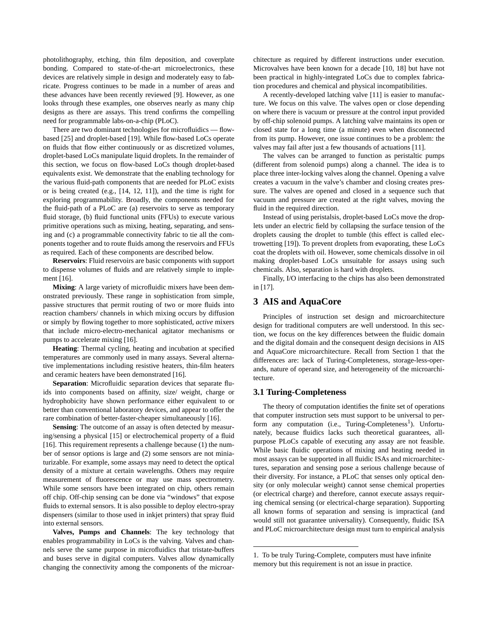photolithography, etching, thin film deposition, and coverplate bonding. Compared to state-of-the-art microelectronics, these devices are relatively simple in design and moderately easy to fabricate. Progress continues to be made in a number of areas and these advances have been recently reviewed [9]. However, as one looks through these examples, one observes nearly as many chip designs as there are assays. This trend confirms the compelling need for programmable labs-on-a-chip (PLoC).

There are two dominant technologies for microfluidics — flowbased [25] and droplet-based [19]. While flow-based LoCs operate on fluids that flow either continuously or as discretized volumes, droplet-based LoCs manipulate liquid droplets. In the remainder of this section, we focus on flow-based LoCs though droplet-based equivalents exist. We demonstrate that the enabling technology for the various fluid-path components that are needed for PLoC exists or is being created (e.g., [14, 12, 11]), and the time is right for exploring programmability. Broadly, the components needed for the fluid-path of a PLoC are (a) reservoirs to serve as temporary fluid storage, (b) fluid functional units (FFUs) to execute various primitive operations such as mixing, heating, separating, and sensing and (c) a programmable connectivity fabric to tie all the components together and to route fluids among the reservoirs and FFUs as required. Each of these components are described below.

**Reservoirs**: Fluid reservoirs are basic components with support to dispense volumes of fluids and are relatively simple to implement [16].

**Mixing**: A large variety of microfluidic mixers have been demonstrated previously. These range in sophistication from simple, passive structures that permit routing of two or more fluids into reaction chambers/ channels in which mixing occurs by diffusion or simply by flowing together to more sophisticated, *active* mixers that include micro-electro-mechanical agitator mechanisms or pumps to accelerate mixing [16].

**Heating**: Thermal cycling, heating and incubation at specified temperatures are commonly used in many assays. Several alternative implementations including resistive heaters, thin-film heaters and ceramic heaters have been demonstrated [16].

**Separation**: Microfluidic separation devices that separate fluids into components based on affinity, size/ weight, charge or hydrophobicity have shown performance either equivalent to or better than conventional laboratory devices, and appear to offer the rare combination of better-faster-cheaper simultaneously [16].

**Sensing**: The outcome of an assay is often detected by measuring/sensing a physical [15] or electrochemical property of a fluid [16]. This requirement represents a challenge because (1) the number of sensor options is large and (2) some sensors are not miniaturizable. For example, some assays may need to detect the optical density of a mixture at certain wavelengths. Others may require measurement of fluorescence or may use mass spectrometry. While some sensors have been integrated on chip, others remain off chip. Off-chip sensing can be done via "windows" that expose fluids to external sensors. It is also possible to deploy electro-spray dispensers (similar to those used in inkjet printers) that spray fluid into external sensors.

**Valves, Pumps and Channels**: The key technology that enables programmability in LoCs is the valving. Valves and channels serve the same purpose in microfluidics that tristate-buffers and buses serve in digital computers. Valves allow dynamically changing the connectivity among the components of the microarchitecture as required by different instructions under execution. Microvalves have been known for a decade [10, 18] but have not been practical in highly-integrated LoCs due to complex fabrication procedures and chemical and physical incompatibilities.

A recently-developed latching valve [11] is easier to manufacture. We focus on this valve. The valves open or close depending on where there is vacuum or pressure at the control input provided by off-chip solenoid pumps. A latching valve maintains its open or closed state for a long time (a minute) even when disconnected from its pump. However, one issue continues to be a problem: the valves may fail after just a few thousands of actuations [11].

The valves can be arranged to function as peristaltic pumps (different from solenoid pumps) along a channel. The idea is to place three inter-locking valves along the channel. Opening a valve creates a vacuum in the valve's chamber and closing creates pressure. The valves are opened and closed in a sequence such that vacuum and pressure are created at the right valves, moving the fluid in the required direction.

Instead of using peristalsis, droplet-based LoCs move the droplets under an electric field by collapsing the surface tension of the droplets causing the droplet to tumble (this effect is called electrowetting [19]). To prevent droplets from evaporating, these LoCs coat the droplets with oil. However, some chemicals dissolve in oil making droplet-based LoCs unsuitable for assays using such chemicals. Also, separation is hard with droplets.

Finally, I/O interfacing to the chips has also been demonstrated in [17].

### <span id="page-2-0"></span>**3 AIS and AquaCore**

Principles of instruction set design and microarchitecture design for traditional computers are well understood. In this section, we focus on the key differences between the fluidic domain and the digital domain and the consequent design decisions in AIS and AquaCore microarchitecture. Recall from [Section 1](#page-0-0) that the differences are: lack of Turing-Completeness, storage-less-operands, nature of operand size, and heterogeneity of the microarchitecture.

#### **3.1 Turing-Completeness**

The theory of computation identifies the finite set of operations that computer instruction sets must support to be universal to perform any computation (i.e., Turing-Completeness<sup>1</sup>). Unfortunately, because fluidics lacks such theoretical guarantees, allpurpose PLoCs capable of executing any assay are not feasible. While basic fluidic operations of mixing and heating needed in most assays can be supported in all fluidic ISAs and microarchitectures, separation and sensing pose a serious challenge because of their diversity. For instance, a PLoC that senses only optical density (or only molecular weight) cannot sense chemical properties (or electrical charge) and therefore, cannot execute assays requiring chemical sensing (or electrical-charge separation). Supporting all known forms of separation and sensing is impractical (and would still not guarantee universality). Consequently, fluidic ISA and PLoC microarchitecture design must turn to empirical analysis

<sup>1.</sup> To be truly Turing-Complete, computers must have infinite memory but this requirement is not an issue in practice.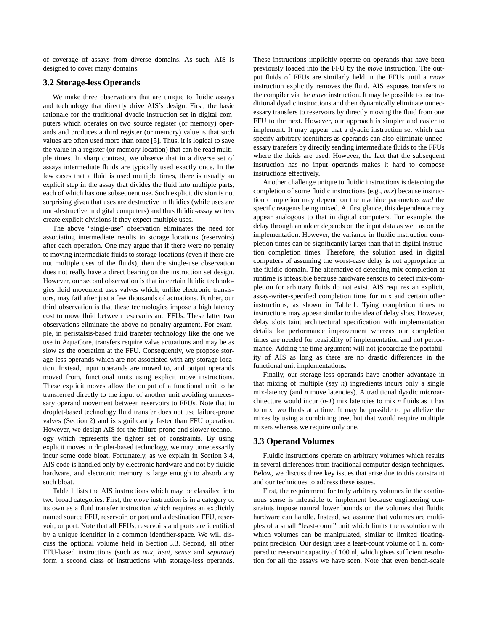of coverage of assays from diverse domains. As such, AIS is designed to cover many domains.

### **3.2 Storage-less Operands**

We make three observations that are unique to fluidic assays and technology that directly drive AIS's design. First, the basic rationale for the traditional dyadic instruction set in digital computers which operates on two source register (or memory) operands and produces a third register (or memory) value is that such values are often used more than once [5]. Thus, it is logical to save the value in a register (or memory location) that can be read multiple times. In sharp contrast, we observe that in a diverse set of assays intermediate fluids are typically used exactly once. In the few cases that a fluid is used multiple times, there is usually an explicit step in the assay that divides the fluid into multiple parts, each of which has one subsequent use. Such explicit division is not surprising given that uses are destructive in fluidics (while uses are non-destructive in digital computers) and thus fluidic-assay writers create explicit divisions if they expect multiple uses.

The above "single-use" observation eliminates the need for associating intermediate results to storage locations (reservoirs) after each operation. One may argue that if there were no penalty to moving intermediate fluids to storage locations (even if there are not multiple uses of the fluids), then the single-use observation does not really have a direct bearing on the instruction set design. However, our second observation is that in certain fluidic technologies fluid movement uses valves which, unlike electronic transistors, may fail after just a few thousands of actuations. Further, our third observation is that these technologies impose a high latency cost to move fluid between reservoirs and FFUs. These latter two observations eliminate the above no-penalty argument. For example, in peristalsis-based fluid transfer technology like the one we use in AquaCore, transfers require valve actuations and may be as slow as the operation at the FFU. Consequently, we propose storage-less operands which are not associated with any storage location. Instead, input operands are moved to, and output operands moved from, functional units using explicit move instructions. These explicit moves allow the output of a functional unit to be transferred directly to the input of another unit avoiding unnecessary operand movement between reservoirs to FFUs. Note that in droplet-based technology fluid transfer does not use failure-prone valves ([Section 2\)](#page-1-0) and is significantly faster than FFU operation. However, we design AIS for the failure-prone and slower technology which represents the tighter set of constraints. By using explicit moves in droplet-based technology, we may unnecessarily incur some code bloat. Fortunately, as we explain in [Section 3.4,](#page-5-0) AIS code is handled only by electronic hardware and not by fluidic hardware, and electronic memory is large enough to absorb any such bloat.

[Table 1](#page-4-0) lists the AIS instructions which may be classified into two broad categories. First, the *move* instruction is in a category of its own as a fluid transfer instruction which requires an explicitly named source FFU, reservoir, or port and a destination FFU, reservoir, or port. Note that all FFUs, reservoirs and ports are identified by a unique identifier in a common identifier-space. We will discuss the optional volume field in [Section 3.3.](#page-3-0) Second, all other FFU-based instructions (such as *mix*, *heat*, *sense* and *separate*) form a second class of instructions with storage-less operands. These instructions implicitly operate on operands that have been previously loaded into the FFU by the *move* instruction. The output fluids of FFUs are similarly held in the FFUs until a *move* instruction explicitly removes the fluid. AIS exposes transfers to the compiler via the *move* instruction. It may be possible to use traditional dyadic instructions and then dynamically eliminate unnecessary transfers to reservoirs by directly moving the fluid from one FFU to the next. However, our approach is simpler and easier to implement. It may appear that a dyadic instruction set which can specify arbitrary identifiers as operands can also eliminate unnecessary transfers by directly sending intermediate fluids to the FFUs where the fluids are used. However, the fact that the subsequent instruction has no input operands makes it hard to compose instructions effectively.

Another challenge unique to fluidic instructions is detecting the completion of some fluidic instructions (e.g., *mix*) because instruction completion may depend on the machine parameters *and* the specific reagents being mixed. At first glance, this dependence may appear analogous to that in digital computers. For example, the delay through an adder depends on the input data as well as on the implementation. However, the variance in fluidic instruction completion times can be significantly larger than that in digital instruction completion times. Therefore, the solution used in digital computers of assuming the worst-case delay is not appropriate in the fluidic domain. The alternative of detecting mix completion at runtime is infeasible because hardware sensors to detect mix-completion for arbitrary fluids do not exist. AIS requires an explicit, assay-writer-specified completion time for mix and certain other instructions, as shown in [Table 1](#page-4-0). Tying completion times to instructions may appear similar to the idea of delay slots. However, delay slots taint architectural specification with implementation details for performance improvement whereas our completion times are needed for feasibility of implementation and not performance. Adding the time argument will not jeopardize the portability of AIS as long as there are no drastic differences in the functional unit implementations.

Finally, our storage-less operands have another advantage in that mixing of multiple (say *n*) ingredients incurs only a single mix-latency (and *n* move latencies). A traditional dyadic microarchitecture would incur (*n-1*) mix latencies to mix *n* fluids as it has to mix two fluids at a time. It may be possible to parallelize the mixes by using a combining tree, but that would require multiple mixers whereas we require only one.

#### <span id="page-3-0"></span>**3.3 Operand Volumes**

Fluidic instructions operate on arbitrary volumes which results in several differences from traditional computer design techniques. Below, we discuss three key issues that arise due to this constraint and our techniques to address these issues.

First, the requirement for truly arbitrary volumes in the continuous sense is infeasible to implement because engineering constraints impose natural lower bounds on the volumes that fluidic hardware can handle. Instead, we assume that volumes are multiples of a small "least-count" unit which limits the resolution with which volumes can be manipulated, similar to limited floatingpoint precision. Our design uses a least-count volume of 1 nl compared to reservoir capacity of 100 nl, which gives sufficient resolution for all the assays we have seen. Note that even bench-scale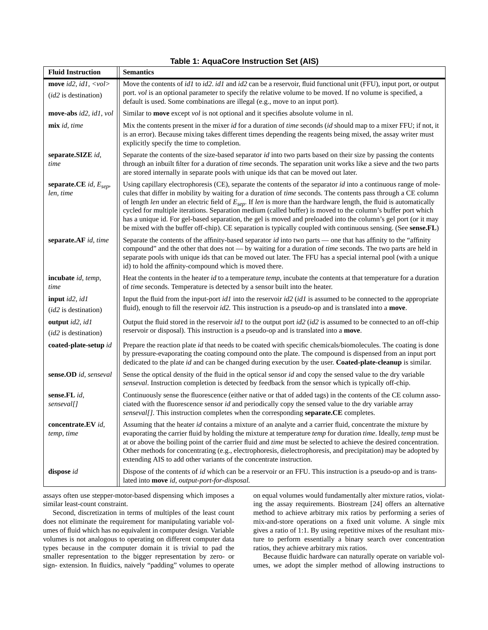<span id="page-4-0"></span>

| <b>Fluid Instruction</b>                          | <b>Semantics</b>                                                                                                                                                                                                                                                                                                                                                                                                                                                                                                                                                                                                                                                                                                           |  |
|---------------------------------------------------|----------------------------------------------------------------------------------------------------------------------------------------------------------------------------------------------------------------------------------------------------------------------------------------------------------------------------------------------------------------------------------------------------------------------------------------------------------------------------------------------------------------------------------------------------------------------------------------------------------------------------------------------------------------------------------------------------------------------------|--|
| move $id2$ , $id1$ , $$<br>$(id2$ is destination) | Move the contents of id1 to id2. id1 and id2 can be a reservoir, fluid functional unit (FFU), input port, or output<br>port. vol is an optional parameter to specify the relative volume to be moved. If no volume is specified, a                                                                                                                                                                                                                                                                                                                                                                                                                                                                                         |  |
|                                                   | default is used. Some combinations are illegal (e.g., move to an input port).                                                                                                                                                                                                                                                                                                                                                                                                                                                                                                                                                                                                                                              |  |
| move-abs id2, id1, vol                            | Similar to <b>move</b> except <i>vol</i> is not optional and it specifies absolute volume in nl.                                                                                                                                                                                                                                                                                                                                                                                                                                                                                                                                                                                                                           |  |
| mix id, time                                      | Mix the contents present in the mixer id for a duration of time seconds (id should map to a mixer FFU; if not, it<br>is an error). Because mixing takes different times depending the reagents being mixed, the assay writer must<br>explicitly specify the time to completion.                                                                                                                                                                                                                                                                                                                                                                                                                                            |  |
| separate.SIZE id,<br>time                         | Separate the contents of the size-based separator <i>id</i> into two parts based on their size by passing the contents<br>through an inbuilt filter for a duration of <i>time</i> seconds. The separation unit works like a sieve and the two parts<br>are stored internally in separate pools with unique ids that can be moved out later.                                                                                                                                                                                                                                                                                                                                                                                |  |
| separate.CE <i>id</i> , $E_{sep}$ ,<br>len, time  | Using capillary electrophoresis (CE), separate the contents of the separator <i>id</i> into a continuous range of mole-<br>cules that differ in mobility by waiting for a duration of time seconds. The contents pass through a CE column<br>of length len under an electric field of $E_{sep}$ . If len is more than the hardware length, the fluid is automatically<br>cycled for multiple iterations. Separation medium (called buffer) is moved to the column's buffer port which<br>has a unique id. For gel-based separation, the gel is moved and preloaded into the column's gel port (or it may<br>be mixed with the buffer off-chip). CE separation is typically coupled with continuous sensing. (See sense.FL) |  |
| separate.AF id, time                              | Separate the contents of the affinity-based separator id into two parts — one that has affinity to the "affinity<br>compound" and the other that does not — by waiting for a duration of <i>time</i> seconds. The two parts are held in<br>separate pools with unique ids that can be moved out later. The FFU has a special internal pool (with a unique<br>id) to hold the affinity-compound which is moved there.                                                                                                                                                                                                                                                                                                       |  |
| incubate id, temp,<br>time                        | Heat the contents in the heater id to a temperature temp, incubate the contents at that temperature for a duration<br>of time seconds. Temperature is detected by a sensor built into the heater.                                                                                                                                                                                                                                                                                                                                                                                                                                                                                                                          |  |
| input $id2$ , $id1$<br>$(id2$ is destination)     | Input the fluid from the input-port $idl$ into the reservoir $id2$ ( $idl$ is assumed to be connected to the appropriate<br>fluid), enough to fill the reservoir $id2$ . This instruction is a pseudo-op and is translated into a <b>move</b> .                                                                                                                                                                                                                                                                                                                                                                                                                                                                            |  |
| output id2, id1<br>$(id2$ is destination)         | Output the fluid stored in the reservoir $id1$ to the output port $id2$ ( $id2$ is assumed to be connected to an off-chip<br>reservoir or disposal). This instruction is a pseudo-op and is translated into a move.                                                                                                                                                                                                                                                                                                                                                                                                                                                                                                        |  |
| coated-plate-setup id                             | Prepare the reaction plate id that needs to be coated with specific chemicals/biomolecules. The coating is done<br>by pressure-evaporating the coating compound onto the plate. The compound is dispensed from an input port<br>dedicated to the plate id and can be changed during execution by the user. Coated-plate-cleanup is similar.                                                                                                                                                                                                                                                                                                                                                                                |  |
| sense.OD id, senseval                             | Sense the optical density of the fluid in the optical sensor id and copy the sensed value to the dry variable<br>senseval. Instruction completion is detected by feedback from the sensor which is typically off-chip.                                                                                                                                                                                                                                                                                                                                                                                                                                                                                                     |  |
| sense.FL id,<br>senseval[]                        | Continuously sense the fluorescence (either native or that of added tags) in the contents of the CE column asso-<br>ciated with the fluorescence sensor id and periodically copy the sensed value to the dry variable array<br>senseval[]. This instruction completes when the corresponding separate.CE completes.                                                                                                                                                                                                                                                                                                                                                                                                        |  |
| concentrate.EV id,<br>temp, time                  | Assuming that the heater id contains a mixture of an analyte and a carrier fluid, concentrate the mixture by<br>evaporating the carrier fluid by holding the mixture at temperature temp for duration time. Ideally, temp must be<br>at or above the boiling point of the carrier fluid and <i>time</i> must be selected to achieve the desired concentration.<br>Other methods for concentrating (e.g., electrophoresis, dielectrophoresis, and precipitation) may be adopted by<br>extending AIS to add other variants of the concentrate instruction.                                                                                                                                                                   |  |
| dispose id                                        | Dispose of the contents of id which can be a reservoir or an FFU. This instruction is a pseudo-op and is trans-<br>lated into move id, output-port-for-disposal.                                                                                                                                                                                                                                                                                                                                                                                                                                                                                                                                                           |  |

# **Table 1: AquaCore Instruction Set (AIS)**

assays often use stepper-motor-based dispensing which imposes a similar least-count constraint.

Second, discretization in terms of multiples of the least count does not eliminate the requirement for manipulating variable volumes of fluid which has no equivalent in computer design. Variable volumes is not analogous to operating on different computer data types because in the computer domain it is trivial to pad the smaller representation to the bigger representation by zero- or sign- extension. In fluidics, naively "padding" volumes to operate

on equal volumes would fundamentally alter mixture ratios, violating the assay requirements. Biostream [24] offers an alternative method to achieve arbitrary mix ratios by performing a series of mix-and-store operations on a fixed unit volume. A single mix gives a ratio of 1:1. By using repetitive mixes of the resultant mixture to perform essentially a binary search over concentration ratios, they achieve arbitrary mix ratios.

Because fluidic hardware can naturally operate on variable volumes, we adopt the simpler method of allowing instructions to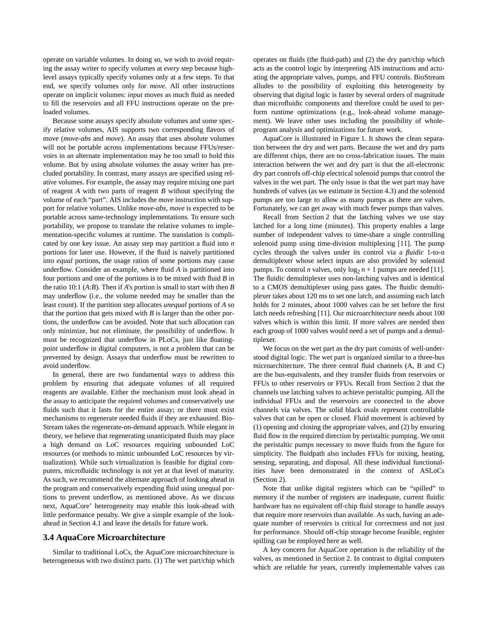operate on variable volumes. In doing so, we wish to avoid requiring the assay writer to specify volumes at *every* step because highlevel assays typically specify volumes only at a few steps. To that end, we specify volumes only for *move*. All other instructions operate on implicit volumes: *input* moves as much fluid as needed to fill the reservoirs and all FFU instructions operate on the preloaded volumes.

Because some assays specify absolute volumes and some specify relative volumes, AIS supports two corresponding flavors of move (*move-abs* and *move*). An assay that uses absolute volumes will not be portable across implementations because FFUs/reservoirs in an alternate implementation may be too small to hold this volume. But by using absolute volumes the assay writer has precluded portability. In contrast, many assays are specified using relative volumes. For example, the assay may require mixing one part of reagent *A* with two parts of reagent *B* without specifying the volume of each "part". AIS includes the *move* instruction with support for relative volumes. Unlike *move-abs, move* is expected to be portable across same-technology implementations. To ensure such portability, we propose to translate the relative volumes to implementation-specific volumes at runtime. The translation is complicated by one key issue. An assay step may partition a fluid into *n* portions for later use. However, if the fluid is naively partitioned into *equal* portions, the usage ratios of some portions may cause underflow. Consider an example, where fluid *A* is partitioned into four portions and one of the portions is to be mixed with fluid *B* in the ratio 10:1 (*A*:*B*). Then if *A*'s portion is small to start with then *B* may underflow (i.e., the volume needed may be smaller than the least count). If the partition step allocates *unequal* portions of *A* so that the portion that gets mixed with *B* is larger than the other portions, the underflow can be avoided. Note that such allocation can only minimize, but not eliminate, the possibility of underflow. It must be recognized that underflow in PLoCs, just like floatingpoint underflow in digital computers, is not a problem that can be prevented by design. Assays that underflow must be rewritten to avoid underflow.

In general, there are two fundamental ways to address this problem by ensuring that adequate volumes of all required reagents are available. Either the mechanism must look ahead in the assay to anticipate the required volumes and conservatively use fluids such that it lasts for the entire assay; or there must exist mechanisms to regenerate needed fluids if they are exhausted. Bio-Stream takes the regenerate-on-demand approach. While elegant in theory, we believe that regenerating unanticipated fluids may place a high demand on LoC resources requiring unbounded LoC resources (or methods to mimic unbounded LoC resources by virtualization). While such virtualization is feasible for digital computers, microfluidic technology is not yet at that level of maturity. As such, we recommend the alternate approach of looking ahead in the program and conservatively expending fluid using unequal portions to prevent underflow, as mentioned above. As we discuss next, AquaCore' heterogeneity may enable this look-ahead with little performance penalty. We give a simple example of the lookahead in [Section 4.1](#page-6-1) and leave the details for future work.

### <span id="page-5-0"></span>**3.4 AquaCore Microarchitecture**

Similar to traditional LoCs, the AquaCore microarchitecture is heterogeneous with two distinct parts. (1) The wet part/chip which operates on fluids (the fluid-path) and (2) the dry part/chip which acts as the control logic by interpreting AIS instructions and actuating the appropriate valves, pumps, and FFU controls. BioStream alludes to the possibility of exploiting this heterogeneity by observing that digital logic is faster by several orders of magnitude than microfluidic components and therefore could be used to perform runtime optimizations (e.g., look-ahead volume management). We leave other uses including the possibility of wholeprogram analysis and optimizations for future work.

AquaCore is illustrated in [Figure 1.](#page-6-2) It shows the clean separation between the dry and wet parts. Because the wet and dry parts are different chips, there are no cross-fabrication issues. The main interaction between the wet and dry part is that the all-electronic dry part controls off-chip electrical solenoid pumps that control the valves in the wet part. The only issue is that the wet part may have hundreds of valves (as we estimate in [Section 4.3](#page-10-0)) and the solenoid pumps are too large to allow as many pumps as there are valves. Fortunately, we can get away with much fewer pumps than valves.

Recall from [Section 2](#page-1-0) that the latching valves we use stay latched for a long time (minutes). This property enables a large number of independent valves to time-share a single controlling solenoid pump using time-division multiplexing [11]. The pump cycles through the valves under its control via a *fluidic* 1-to-n demultiplexer whose select inputs are also provided by solenoid pumps. To control *n* valves, only  $\log_2 n + 1$  pumps are needed [11]. The fluidic demultiplexer uses non-latching valves and is identical to a CMOS demultiplexer using pass gates. The fluidic demultiplexer takes about 120 ms to set one latch, and assuming each latch holds for 2 minutes, about 1000 valves can be set before the first latch needs refreshing [11]. Our microarchitecture needs about 100 valves which is within this limit. If more valves are needed then each group of 1000 valves would need a set of pumps and a demultiplexer.

We focus on the wet part as the dry part consists of well-understood digital logic. The wet part is organized similar to a three-bus microarchitecture. The three central fluid channels (A, B and C) are the bus-equivalents, and they transfer fluids from reservoirs or FFUs to other reservoirs or FFUs. Recall from [Section 2](#page-1-0) that the channels use latching valves to achieve peristaltic pumping. All the individual FFUs and the reservoirs are connected to the above channels via valves. The solid black ovals represent controllable valves that can be open or closed. Fluid movement is achieved by (1) opening and closing the appropriate valves, and (2) by ensuring fluid flow in the required direction by peristaltic pumping. We omit the peristaltic pumps necessary to move fluids from the figure for simplicity. The fluidpath also includes FFUs for mixing, heating, sensing, separating, and disposal. All these individual functionalities have been demonstrated in the context of ASLoCs ([Section 2\)](#page-1-0).

Note that unlike digital registers which can be "spilled" to memory if the number of registers are inadequate, current fluidic hardware has no equivalent off-chip fluid storage to handle assays that require more reservoirs than available. As such, having an adequate number of reservoirs is critical for correctness and not just for performance. Should off-chip storage become feasible, register spilling can be employed here as well.

A key concern for AquaCore operation is the reliability of the valves, as mentioned in [Section 2](#page-1-0). In contrast to digital computers which are reliable for years, currently implementable valves can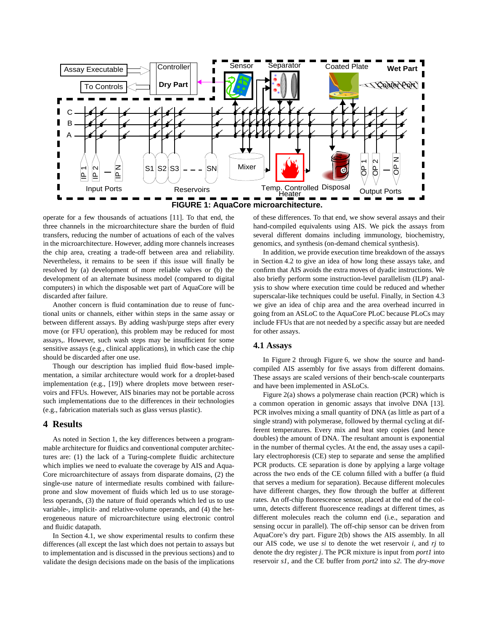

<span id="page-6-2"></span>operate for a few thousands of actuations [11]. To that end, the three channels in the microarchitecture share the burden of fluid transfers, reducing the number of actuations of each of the valves in the microarchitecture. However, adding more channels increases the chip area, creating a trade-off between area and reliability. Nevertheless, it remains to be seen if this issue will finally be resolved by (a) development of more reliable valves or (b) the development of an alternate business model (compared to digital computers) in which the disposable wet part of AquaCore will be discarded after failure.

Another concern is fluid contamination due to reuse of functional units or channels, either within steps in the same assay or between different assays. By adding wash/purge steps after every move (or FFU operation), this problem may be reduced for most assays,. However, such wash steps may be insufficient for some sensitive assays (e.g., clinical applications), in which case the chip should be discarded after one use.

Though our description has implied fluid flow-based implementation, a similar architecture would work for a droplet-based implementation (e.g., [19]) where droplets move between reservoirs and FFUs. However, AIS binaries may not be portable across such implementations due to the differences in their technologies (e.g., fabrication materials such as glass versus plastic).

# <span id="page-6-0"></span>**4 Results**

As noted in [Section 1,](#page-0-0) the key differences between a programmable architecture for fluidics and conventional computer architectures are: (1) the lack of a Turing-complete fluidic architecture which implies we need to evaluate the coverage by AIS and Aqua-Core microarchitecture of assays from disparate domains, (2) the single-use nature of intermediate results combined with failureprone and slow movement of fluids which led us to use storageless operands, (3) the nature of fluid operands which led us to use variable-, implicit- and relative-volume operands, and (4) the heterogeneous nature of microarchitecture using electronic control and fluidic datapath.

In [Section 4.1](#page-6-1), we show experimental results to confirm these differences (all except the last which does not pertain to assays but to implementation and is discussed in the previous sections) and to validate the design decisions made on the basis of the implications

of these differences. To that end, we show several assays and their hand-compiled equivalents using AIS. We pick the assays from several different domains including immunology, biochemistry, genomics, and synthesis (on-demand chemical synthesis).

In addition, we provide execution time breakdown of the assays in [Section 4.2](#page-9-0) to give an idea of how long these assays take, and confirm that AIS avoids the extra moves of dyadic instructions. We also briefly perform some instruction-level parallelism (ILP) analysis to show where execution time could be reduced and whether superscalar-like techniques could be useful. Finally, in [Section 4.3](#page-10-0) we give an idea of chip area and the area overhead incurred in going from an ASLoC to the AquaCore PLoC because PLoCs may include FFUs that are not needed by a specific assay but are needed for other assays.

### <span id="page-6-1"></span>**4.1 Assays**

In [Figure 2](#page-7-0) through [Figure 6,](#page-9-1) we show the source and handcompiled AIS assembly for five assays from different domains. These assays are scaled versions of their bench-scale counterparts and have been implemented in ASLoCs.

[Figure 2](#page-7-0)(a) shows a polymerase chain reaction (PCR) which is a common operation in genomic assays that involve DNA [13]. PCR involves mixing a small quantity of DNA (as little as part of a single strand) with polymerase, followed by thermal cycling at different temperatures. Every mix and heat step copies (and hence doubles) the amount of DNA. The resultant amount is exponential in the number of thermal cycles. At the end, the assay uses a capillary electrophoresis (CE) step to separate and sense the amplified PCR products. CE separation is done by applying a large voltage across the two ends of the CE column filled with a buffer (a fluid that serves a medium for separation). Because different molecules have different charges, they flow through the buffer at different rates. An off-chip fluorescence sensor, placed at the end of the column, detects different fluorescence readings at different times, as different molecules reach the column end (i.e., separation and sensing occur in parallel). The off-chip sensor can be driven from AquaCore's dry part. [Figure 2\(](#page-7-0)b) shows the AIS assembly. In all our AIS code, we use *si* to denote the wet reservoir *i,* and *rj* to denote the dry register *j*. The PCR mixture is input from *port1* into reservoir *s1*, and the CE buffer from *port2* into *s2*. The *dry-move*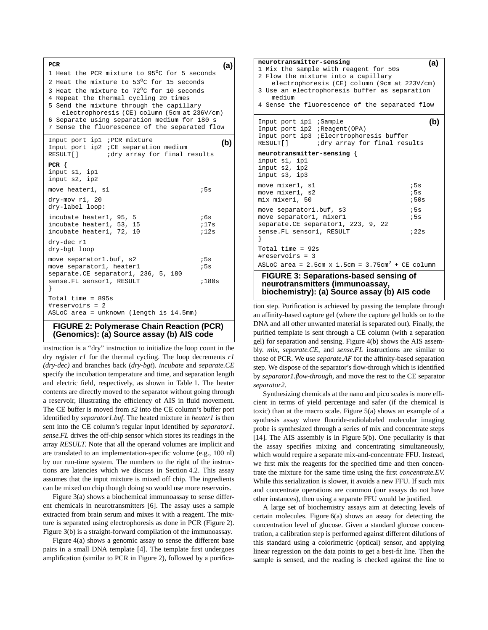```
PCR
1 Heat the PCR mixture to 95°C for 5 seconds
2 Heat the mixture to 53^{\circ}C for 15 seconds
3 Heat the mixture to 72^{\circ}C for 10 seconds
4 Repeat the thermal cycling 20 times
5 Send the mixture through the capillary
   electrophoresis (CE) column (5cm at 236V/cm)
6 Separate using separation medium for 180 s
7 Sense the fluorescence of the separated flow
                                            (a)
Input port ip1 ;PCR mixture
Input port ip2 ;CE separation medium
RESULT[] ;dry array for final results
PCR {
input s1, ip1
input s2, ip2
move heater1, s1 \qquad \qquad ;5s
dry-mov r1, 20
dry-label loop:
incubate heater1, 95, 5 \hspace{1.5cm} ;6s
incubate heater1, 53, 15 ;17s
incubate heater1, 72, 10 i12s
dry-dec r1
dry-bgt loop
move separator1.buf, s2 \qquad \qquad ;5s
move separator1, heater1 \qquad \qquad ;5s
separate.CE separator1, 236, 5, 180
sense.FL sensor1, RESULT i180s}
Total time = 895s
#reservoirs = 2
ASLoC area = unknown (length is 14.5mm)
                                            (b)
```
### <span id="page-7-0"></span>**FIGURE 2: Polymerase Chain Reaction (PCR) (Genomics): (a) Source assay (b) AIS code**

instruction is a "dry" instruction to initialize the loop count in the dry register *r1* for the thermal cycling. The loop decrements *r1 (dry-dec)* and branches back (*dry-bgt*). *incubate* and *separate.CE* specify the incubation temperature and time, and separation length and electric field, respectively, as shown in [Table 1](#page-4-0). The heater contents are directly moved to the separator without going through a reservoir, illustrating the efficiency of AIS in fluid movement. The CE buffer is moved from *s2* into the CE column's buffer port identified by *separator1.buf*. The heated mixture in *heater1* is then sent into the CE column's regular input identified by *separator1*. *sense.FL* drives the off-chip sensor which stores its readings in the array *RESULT*. Note that all the operand volumes are implicit and are translated to an implementation-specific volume (e.g., 100 nl) by our run-time system. The numbers to the right of the instructions are latencies which we discuss in [Section 4.2](#page-9-0). This assay assumes that the input mixture is mixed off chip. The ingredients can be mixed on chip though doing so would use more reservoirs.

[Figure 3](#page-7-1)(a) shows a biochemical immunoassay to sense different chemicals in neurotransmitters [6]. The assay uses a sample extracted from brain serum and mixes it with a reagent. The mixture is separated using electrophoresis as done in PCR ([Figure 2\)](#page-7-0)[.](#page-7-1) [Figure 3](#page-7-1)(b) is a straight-forward compilation of the immunoassay.

[Figure 4](#page-8-0)(a) shows a genomic assay to sense the different base pairs in a small DNA template [4]. The template first undergoes amplification (similar to PCR in [Figure 2](#page-7-0)), followed by a purifica-

| neurotransmitter-sensing<br>(a)<br>1 Mix the sample with reagent for 50s<br>2 Flow the mixture into a capillary<br>electrophoresis (CE) column (9cm at 223V/cm)<br>3 Use an electrophoresis buffer as separation |     |  |
|------------------------------------------------------------------------------------------------------------------------------------------------------------------------------------------------------------------|-----|--|
| medium<br>4 Sense the fluorescence of the separated flow                                                                                                                                                         |     |  |
| Input port ip1 ;Sample<br>Input port ip2 ; Reagent (OPA)<br>Input port ip3 ;Elecrtrophoresis buffer<br>RESULT[] <i>idry</i> array for final results                                                              | (b) |  |
| neurotransmitter-sensing {<br>input s1, ip1<br>input s2, ip2<br>input s3, ip3                                                                                                                                    |     |  |
| move mixer1, s1<br>15s<br>move mixer1, s2<br>15s<br>mix mixer1, 50<br>150s                                                                                                                                       |     |  |
| move separator1.buf, s3<br>55s<br>move separator1, mixer1<br>55s<br>separate. CE separator1, 223, 9, 22                                                                                                          |     |  |
| sense. FL sensor1, RESULT<br>122s<br>ł                                                                                                                                                                           |     |  |
| Total time = 92s<br>#reservoirs = $3$<br>ASLOC area = $2.5cm \times 1.5cm = 3.75cm^2 + CE column$                                                                                                                |     |  |
| <b>FIGURE 3: Separations-based sensing of</b><br>neurotransmitters (immunoassay,<br>biochemistry): (a) Source assay (b) AIS code                                                                                 |     |  |

<span id="page-7-1"></span>tion step. Purification is achieved by passing the template through an affinity-based capture gel (where the capture gel holds on to the DNA and all other unwanted material is separated out). Finally, the purified template is sent through a CE column (with a separation gel) for separation and sensing. [Figure 4\(](#page-8-0)b) shows the AIS assembly. *mix*, *separate.CE*, and *sense.FL* instructions are similar to those of PCR. We use *separate.AF* for the affinity-based separation step. We dispose of the separator's flow-through which is identified by *separator1.flow-through,* and move the rest to the CE separator *separator2*.

Synthesizing chemicals at the nano and pico scales is more efficient in terms of yield percentage and safer (if the chemical is toxic) than at the macro scale. [Figure 5\(](#page-8-1)a) shows an example of a synthesis assay where fluoride-radiolabeled molecular imaging probe is synthesized through a series of mix and concentrate steps [14]. The AIS assembly is in [Figure 5\(](#page-8-1)b). One peculiarity is that the assay specifies mixing and concentrating simultaneously, which would require a separate mix-and-concentrate FFU. Instead, we first mix the reagents for the specified time and then concentrate the mixture for the same time using the first *concentrate.EV*. While this serialization is slower, it avoids a new FFU. If such mix and concentrate operations are common (our assays do not have other instances), then using a separate FFU would be justified.

A large set of biochemistry assays aim at detecting levels of certain molecules. [Figure 6](#page-9-1)(a) shows an assay for detecting the concentration level of glucose. Given a standard glucose concentration, a calibration step is performed against different dilutions of this standard using a colorimetric (optical) sensor, and applying linear regression on the data points to get a best-fit line. Then the sample is sensed, and the reading is checked against the line to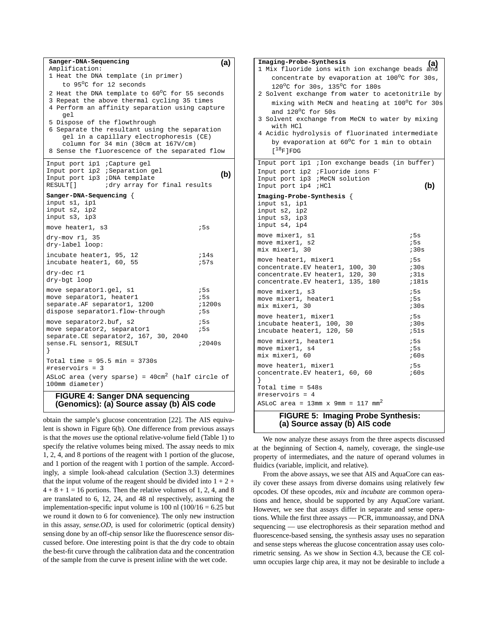| Sanger-DNA-Sequencing<br>Amplification:<br>1 Heat the DNA template (in primer)                                                                                                                                                                                                     | (a) |
|------------------------------------------------------------------------------------------------------------------------------------------------------------------------------------------------------------------------------------------------------------------------------------|-----|
| to 95°C for 12 seconds                                                                                                                                                                                                                                                             |     |
| 2 Heat the DNA template to 60°C for 55 seconds<br>3 Repeat the above thermal cycling 35 times<br>4 Perform an affinity separation using capture<br>qel<br>5 Dispose of the flowthrough<br>6 Separate the resultant using the separation<br>gel in a capillary electrophoresis (CE) |     |
| column for 34 min (30cm at 167V/cm)<br>8 Sense the fluorescence of the separated flow                                                                                                                                                                                              |     |
| Input port ipl ; Capture gel<br>Input port ip2 ; Separation gel<br>Input port ip3 ; DNA template<br>RESULT[]<br>idry array for final results                                                                                                                                       | (b) |
| Sanger-DNA-Sequencing {<br>input s1, ip1<br>input s2, ip2<br>input s3, ip3                                                                                                                                                                                                         |     |
| move heater1, s3<br>;5s                                                                                                                                                                                                                                                            |     |
| dry-mov r1, 35<br>dry-label loop:                                                                                                                                                                                                                                                  |     |
| incubate heater1, 95, 12<br>14s<br>incubate heater1, 60, 55<br>157s                                                                                                                                                                                                                |     |
| dry-dec r1<br>dry-bgt loop                                                                                                                                                                                                                                                         |     |
| 15s<br>move separatorl.gel, sl<br>move separator1, heater1<br>;5s<br>separate. AF separator1, 1200<br>;1200s<br>dispose separator1.flow-through<br>15s                                                                                                                             |     |
| move separator2.buf, s2<br>15s<br>move separator2, separator1<br>15s<br>separate. CE separator2, 167, 30, 2040<br>sense.FL sensor1, RESULT<br>12040s<br>ł                                                                                                                          |     |
| Total time = $95.5$ min = $3730s$<br>#reservoirs = 3<br>ASLoC area (very sparse) = $40 \text{cm}^2$ (half circle of<br>100mm diameter)                                                                                                                                             |     |

### <span id="page-8-0"></span>**FIGURE 4: Sanger DNA sequencing (Genomics): (a) Source assay (b) AIS code**

obtain the sample's glucose concentration [22]. The AIS equivalent is shown in [Figure 6](#page-9-1)(b). One difference from previous assays is that the *moves* use the optional relative-volume field [\(Table 1\)](#page-4-0) to specify the relative volumes being mixed. The assay needs to mix 1, 2, 4, and 8 portions of the reagent with 1 portion of the glucose, and 1 portion of the reagent with 1 portion of the sample. Accordingly, a simple look-ahead calculation ([Section 3.3](#page-3-0)) determines that the input volume of the reagent should be divided into  $1 + 2 +$  $4 + 8 + 1 = 16$  portions. Then the relative volumes of 1, 2, 4, and 8 are translated to 6, 12, 24, and 48 nl respectively, assuming the implementation-specific input volume is 100 nl  $(100/16 = 6.25$  but we round it down to 6 for convenience). The only new instruction in this assay, *sense.OD*, is used for colorimetric (optical density) sensing done by an off-chip sensor like the fluorescence sensor discussed before. One interesting point is that the dry code to obtain the best-fit curve through the calibration data and the concentration of the sample from the curve is present inline with the wet code.

| Imaging-Probe-Synthesis                                                           |             |
|-----------------------------------------------------------------------------------|-------------|
| 1 Mix fluoride ions with ion exchange beads and                                   |             |
| concentrate by evaporation at 100°C for 30s,                                      |             |
| 120°C for 30s, 135°C for 180s<br>2 Solvent exchange from water to acetonitrile by |             |
| mixing with MeCN and heating at 100°C for 30s                                     |             |
| and 120°C for 50s                                                                 |             |
| 3 Solvent exchange from MeCN to water by mixing                                   |             |
| with HCl                                                                          |             |
| 4 Acidic hydrolysis of fluorinated intermediate                                   |             |
| by evaporation at $60^{\circ}$ C for 1 min to obtain<br>$1^{18}$ F lFDG           |             |
|                                                                                   |             |
| Input port ip1 ; Ion exchange beads (in buffer)                                   |             |
| Input port ip2 ;Fluoride ions F <sup>-</sup><br>Input port ip3 ; MeCN solution    |             |
| Input port ip4 ; HCl                                                              | (b)         |
| $Imaging-Probe-Synthesis$                                                         |             |
| input s1, ip1                                                                     |             |
| input s2, ip2                                                                     |             |
| input s3, ip3<br>input s4, ip4                                                    |             |
|                                                                                   |             |
| move mixer1, s1<br>move mixer1, s2                                                | 5s<br>5s    |
| mix mixer1, 30                                                                    | 130s        |
| move heater1, mixer1                                                              | 15s         |
| concentrate. EV heater1, 100, 30                                                  | 130s        |
| concentrate. EV heater1, 120, 30                                                  | ;31s        |
| concentrate. EV heater1, 135, 180                                                 | 7181s       |
| move mixer1, s3<br>move mixer1, heater1                                           | 15s<br>5s   |
| mix mixer1, 30                                                                    | 130s        |
| move heater1, mixer1                                                              | 5s          |
| incubate heater1, 100, 30                                                         | 130s        |
| incubate heater1, 120, 50                                                         | 51s         |
| move mixer1, heater1                                                              | 5s          |
| move mixer1, s4                                                                   | 5s          |
| mix mixer1, 60                                                                    | ;60s        |
| move heater1, mixer1                                                              | 15s<br>160s |
| concentrate.EV heater1, 60, 60<br>ł                                               |             |
| Total time = $548s$                                                               |             |
| #reservoirs = 4                                                                   |             |
| ASLoC area = $13$ mm x $9$ mm = $117$ mm <sup>2</sup>                             |             |
| <b>FIGURE 5: Imaging Probe Synthesis:</b>                                         |             |

<span id="page-8-1"></span>We now analyze these assays from the three aspects discussed **(a) Source assay (b) AIS code**

at the beginning of [Section 4](#page-6-0), namely, coverage, the single-use property of intermediates, and the nature of operand volumes in fluidics (variable, implicit, and relative).

From the above assays, we see that AIS and AquaCore can easily cover these assays from diverse domains using relatively few opcodes. Of these opcodes, *mix* and *incubate* are common operations and hence, should be supported by any AquaCore variant. However, we see that assays differ in separate and sense operations. While the first three assays — PCR, immunoassay, and DNA sequencing — use electrophoresis as their separation method and fluorescence-based sensing, the synthesis assay uses no separation and sense steps whereas the glucose concentration assay uses colorimetric sensing. As we show in [Section 4.3](#page-10-0), because the CE column occupies large chip area, it may not be desirable to include a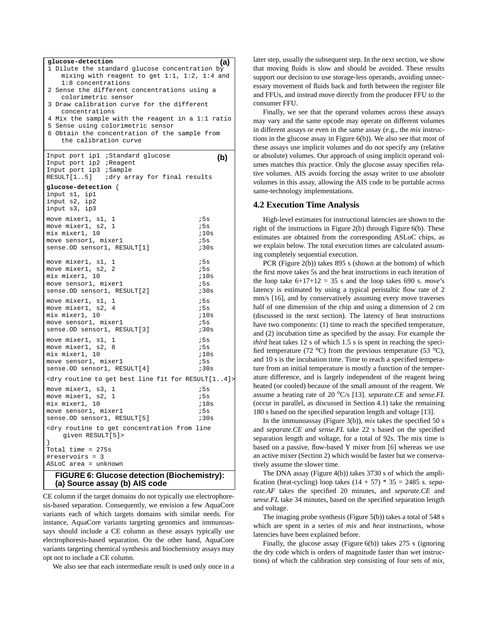| glucose-detection                                                                                                                         | (a) |  |  |
|-------------------------------------------------------------------------------------------------------------------------------------------|-----|--|--|
| 1 Dilute the standard glucose concentration by<br>mixing with reagent to get $1:1$ , $1:2$ , $1:4$ and<br>$1:8$ concentrations            |     |  |  |
| 2 Sense the different concentrations using a<br>colorimetric sensor                                                                       |     |  |  |
| 3 Draw calibration curve for the different<br>concentrations                                                                              |     |  |  |
| 4 Mix the sample with the reagent in a 1:1 ratio<br>5 Sense using colorimetric sensor                                                     |     |  |  |
| 6 Obtain the concentration of the sample from<br>the calibration curve                                                                    |     |  |  |
| Input port ipl ; Standard glucose<br>Input port ip2 ;Reagent<br>Input port ip3 ; Sample<br>RESULT[15] <i>idry</i> array for final results | (b) |  |  |
| glucose-detection {                                                                                                                       |     |  |  |
| input s1, ip1<br>input s2, ip2<br>input s3, ip3                                                                                           |     |  |  |
| move mixerl, sl, 1<br>;5s                                                                                                                 |     |  |  |
| move mixerl, s2, 1<br>;5s                                                                                                                 |     |  |  |
| mix mixer1, 10<br>10s<br>;5s                                                                                                              |     |  |  |
| move sensor1, mixer1<br>sense. OD sensor1, RESULT[1]<br>130s                                                                              |     |  |  |
| 15s<br>move mixer1, s1, 1                                                                                                                 |     |  |  |
| 15s<br>move mixer1, s2, 2                                                                                                                 |     |  |  |
| mix mixer1, 10<br>10s<br>move sensor1, mixer1<br>;5s                                                                                      |     |  |  |
| sense.OD sensor1, RESULT[2]<br>130s                                                                                                       |     |  |  |
| .5s<br>move mixer1, s1, 1                                                                                                                 |     |  |  |
| 15s<br>move mixer1, s2, 4                                                                                                                 |     |  |  |
| mix mixer1, 10<br>10s<br>move sensorl, mixerl<br>;5s                                                                                      |     |  |  |
| sense.OD sensor1, RESULT[3]<br>130s                                                                                                       |     |  |  |
| 15s<br>move mixer1, s1, 1                                                                                                                 |     |  |  |
| 15s<br>move mixer1, s2, 8<br>mix mixer1, 10<br>;10s                                                                                       |     |  |  |
| move sensor1, mixer1<br>15s                                                                                                               |     |  |  |
| sense.OD sensor1, RESULT[4]<br>130s                                                                                                       |     |  |  |
| <dry best="" fit="" for="" get="" line="" result[14]="" routine="" to=""></dry>                                                           |     |  |  |
| move mixer1, s3, 1<br>15s<br>1<br>;5s                                                                                                     |     |  |  |
| move mixer1, s2,<br>mix mixer1, 10<br>10s                                                                                                 |     |  |  |
| move sensor1, mixer1<br>;5s                                                                                                               |     |  |  |
| sense.OD sensor1, RESULT[5]<br>;30s                                                                                                       |     |  |  |
| <dry concentration="" from="" get="" line<br="" routine="" to="">given RESULT[5]&gt;</dry>                                                |     |  |  |
| Total time = $275s$                                                                                                                       |     |  |  |
| #reservoirs = 3                                                                                                                           |     |  |  |
| $ASLOC$ area = unknown                                                                                                                    |     |  |  |
| <b>FIGURE 6: Glucose detection (Biochemistry):</b>                                                                                        |     |  |  |

#### <span id="page-9-1"></span>**FIGURE 6: Glucose detection (Biochemistry): (a) Source assay (b) AIS code**

CE column if the target domains do not typically use electrophoresis-based separation. Consequently, we envision a few AquaCore variants each of which targets domains with similar needs. For instance, AquaCore variants targeting genomics and immunoassays should include a CE column as these assays typically use electrophoresis-based separation. On the other hand, AquaCore variants targeting chemical synthesis and biochemistry assays may opt not to include a CE column.

We also see that each intermediate result is used only once in a

later step, usually the subsequent step. In the next section, we show that moving fluids is slow and should be avoided. These results support our decision to use storage-less operands, avoiding unnecessary movement of fluids back and forth between the register file and FFUs, and instead move directly from the producer FFU to the consumer FFU.

Finally, we see that the operand volumes across these assays may vary and the same opcode may operate on different volumes in different assays or even in the same assay (e.g., the *mix* instructions in the glucose assay in [Figure 6\(](#page-9-1)b)). We also see that most of these assays use implicit volumes and do not specify any (relative or absolute) volumes. Our approach of using implicit operand volumes matches this practice. Only the glucose assay specifies relative volumes. AIS avoids forcing the assay writer to use absolute volumes in this assay, allowing the AIS code to be portable across same-technology implementations.

#### <span id="page-9-0"></span>**4.2 Execution Time Analysis**

High-level estimates for instructional latencies are shown to the right of the instructions in [Figure 2\(](#page-7-0)b) through [Figure 6\(](#page-9-1)b). These estimates are obtained from the corresponding ASLoC chips, as we explain below. The total execution times are calculated assuming completely sequential execution.

PCR ([Figure 2](#page-7-0)(b)) takes 895 s (shown at the bottom) of which the first move takes 5s and the heat instructions in each iteration of the loop take  $6+17+12 = 35$  s and the loop takes 690 s. *move*'s latency is estimated by using a typical peristaltic flow rate of 2 mm/s [16], and by conservatively assuming every move traverses half of one dimension of the chip and using a dimension of 2 cm (discussed in the next section). The latency of heat instructions have two components: (1) time to reach the specified temperature, and (2) incubation time as specified by the assay. For example the *third* heat takes 12 s of which 1.5 s is spent in reaching the specified temperature (72  $^{\circ}$ C) from the previous temperature (53  $^{\circ}$ C), and 10 s is the incubation time. Time to reach a specified temperature from an initial temperature is mostly a function of the temperature difference, and is largely independent of the reagent being heated (or cooled) because of the small amount of the reagent. We assume a heating rate of 20 °C/s [13]. *separate.CE* and *sense.FL* (occur in parallel, as discussed in [Section 4.1\)](#page-6-1) take the remaining 180 s based on the specified separation length and voltage [13].

In the immunoassay [\(Figure 3](#page-7-1)(b)), *mix* takes the specified 50 s and *separate.CE and sense.FL* take 22 s based on the specified separation length and voltage, for a total of 92s. The mix time is based on a passive, flow-based Y mixer from [6] whereas we use an active mixer ([Section 2](#page-1-0)) which would be faster but we conservatively assume the slower time.

The DNA assay [\(Figure 4](#page-8-0)(b)) takes 3730 s of which the amplification (heat-cycling) loop takes (14 + 57) \* 35 = 2485 s. *separate.AF* takes the specified 20 minutes, and *separate.CE* and *sense.FL* take 34 minutes, based on the specified separation length and voltage.

The imaging probe synthesis ([Figure 5\(](#page-8-1)b)) takes a total of 548 s which are spent in a series of *mix* and *heat* instructions, whose latencies have been explained before.

Finally, the glucose assay ([Figure 6](#page-9-1)(b)) takes 275 s (ignoring the dry code which is orders of magnitude faster than wet instructions) of which the calibration step consisting of four sets of *mix*,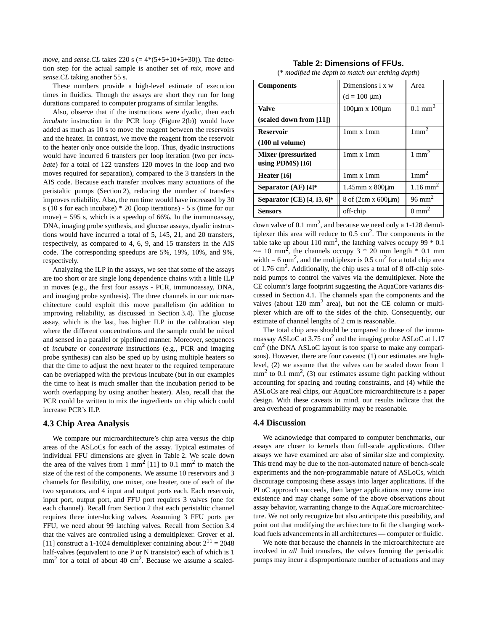*move*, and *sense.CL* takes 220 s (=  $4*(5+5+10+5+30)$ ). The detection step for the actual sample is another set of *mix, move* and *sense.CL* taking another 55 s.

These numbers provide a high-level estimate of execution times in fluidics. Though the assays are short they run for long durations compared to computer programs of similar lengths.

Also, observe that if the instructions were dyadic, then each *incubate* instruction in the PCR loop ([Figure 2](#page-7-0)(b)) would have added as much as 10 s to move the reagent between the reservoirs and the heater. In contrast, we move the reagent from the reservoir to the heater only once outside the loop. Thus, dyadic instructions would have incurred 6 transfers per loop iteration (two per *incubate*) for a total of 122 transfers 120 moves in the loop and two moves required for separation), compared to the 3 transfers in the AIS code. Because each transfer involves many actuations of the peristaltic pumps [\(Section 2\)](#page-1-0), reducing the number of transfers improves reliability. Also, the run time would have increased by 30 s (10 s for each incubate) \* 20 (loop iterations) - 5 s (time for our move)  $= 595$  s, which is a speedup of 66%. In the immunoassay, DNA, imaging probe synthesis, and glucose assays, dyadic instructions would have incurred a total of 5, 145, 21, and 20 transfers, respectively, as compared to 4, 6, 9, and 15 transfers in the AIS code. The corresponding speedups are 5%, 19%, 10%, and 9%, respectively.

Analyzing the ILP in the assays, we see that some of the assays are too short or are single long dependence chains with a little ILP in moves (e.g., the first four assays - PCR, immunoassay, DNA, and imaging probe synthesis). The three channels in our microarchitecture could exploit this move parallelism (in addition to improving reliability, as discussed in [Section 3.4\)](#page-5-0). The glucose assay, which is the last, has higher ILP in the calibration step where the different concentrations and the sample could be mixed and sensed in a parallel or pipelined manner. Moreover, sequences of *incubate* or *concentrate* instructions (e.g., PCR and imaging probe synthesis) can also be sped up by using multiple heaters so that the time to adjust the next heater to the required temperature can be overlapped with the previous incubate (but in our examples the time to heat is much smaller than the incubation period to be worth overlapping by using another heater). Also, recall that the PCR could be written to mix the ingredients on chip which could increase PCR's ILP.

#### <span id="page-10-0"></span>**4.3 Chip Area Analysis**

We compare our microarchitecture's chip area versus the chip areas of the ASLoCs for each of the assay. Typical estimates of individual FFU dimensions are given in [Table 2](#page-10-1). We scale down the area of the valves from 1 mm<sup>2</sup> [11] to 0.1 mm<sup>2</sup> to match the size of the rest of the components. We assume 10 reservoirs and 3 channels for flexibility, one mixer, one heater, one of each of the two separators, and 4 input and output ports each. Each reservoir, input port, output port, and FFU port requires 3 valves (one for each channel). Recall from [Section 2](#page-1-0) that each peristaltic channel requires three inter-locking valves. Assuming 3 FFU ports per FFU, we need about 99 latching valves. Recall from [Section 3.4](#page-5-0) that the valves are controlled using a demultiplexer. Grover et al. [11] construct a 1-1024 demultiplexer containing about  $2^{11} = 2048$ half-valves (equivalent to one P or N transistor) each of which is 1  $mm<sup>2</sup>$  for a total of about 40 cm<sup>2</sup>. Because we assume a scaled-

|  | Table 2: Dimensions of FFUs. |  |
|--|------------------------------|--|
|--|------------------------------|--|

(\* *modified the depth to match our etching depth*)

<span id="page-10-1"></span>

| <b>Components</b>                         | Dimensions 1 x w             | Area                  |
|-------------------------------------------|------------------------------|-----------------------|
|                                           | $(d = 100 \mu m)$            |                       |
| Valve                                     | $100 \mu m \times 100 \mu m$ | $0.1$ mm <sup>2</sup> |
| (scaled down from [11])                   |                              |                       |
| <b>Reservoir</b>                          | $1mm \times 1mm$             | 1mm <sup>2</sup>      |
| $(100 \text{ nl volume})$                 |                              |                       |
| Mixer (pressurized<br>using PDMS $)$ [16] | $1mm \times 1mm$             | $1 \text{ mm}^2$      |
| Heater [16]                               | $1mm \times 1mm$             | 1mm <sup>2</sup>      |
| Separator $(AF)$ [4]*                     | $1.45$ mm x 800 $\mu$ m      | $1.16 \text{ mm}^2$   |
| Separator (CE) $[4, 13, 6]$ *             | 8 of (2cm x 600um)           | $96 \text{ mm}^2$     |
| <b>Sensors</b>                            | off-chip                     | mm                    |

down valve of  $0.1 \text{ mm}^2$ , and because we need only a 1-128 demultiplexer this area will reduce to  $0.5 \text{ cm}^2$ . The components in the table take up about 110 mm<sup>2</sup>, the latching valves occupy 99  $*$  0.1  $\approx$  10 mm<sup>2</sup>, the channels occupy 3  $*$  20 mm length  $*$  0.1 mm width = 6 mm<sup>2</sup>, and the multiplexer is 0.5 cm<sup>2</sup> for a total chip area of  $1.76 \text{ cm}^2$ . Additionally, the chip uses a total of 8 off-chip solenoid pumps to control the valves via the demultiplexer. Note the CE column's large footprint suggesting the AquaCore variants discussed in [Section 4.1](#page-6-1). The channels span the components and the valves (about  $120 \text{ mm}^2$  area), but not the CE column or multiplexer which are off to the sides of the chip. Consequently, our estimate of channel lengths of 2 cm is reasonable.

The total chip area should be compared to those of the immunoassay ASLoC at  $3.75 \text{ cm}^2$  and the imaging probe ASLoC at 1.17  $\text{cm}^2$  (the DNA ASLoC layout is too sparse to make any comparisons). However, there are four caveats: (1) our estimates are highlevel, (2) we assume that the valves can be scaled down from 1  $mm<sup>2</sup>$  to 0.1 mm<sup>2</sup>, (3) our estimates assume tight packing without accounting for spacing and routing constraints, and (4) while the ASLoCs are real chips, our AquaCore microarchitecture is a paper design. With these caveats in mind, our results indicate that the area overhead of programmability may be reasonable.

#### **4.4 Discussion**

We acknowledge that compared to computer benchmarks, our assays are closer to kernels than full-scale applications. Other assays we have examined are also of similar size and complexity. This trend may be due to the non-automated nature of bench-scale experiments and the non-programmable nature of ASLoCs, which discourage composing these assays into larger applications. If the PLoC approach succeeds, then larger applications may come into existence and may change some of the above observations about assay behavior, warranting change to the AquaCore microarchitecture. We not only recognize but also anticipate this possibility, and point out that modifying the architecture to fit the changing workload fuels advancements in all architectures — computer or fluidic.

We note that because the channels in the microarchitecture are involved in *all* fluid transfers, the valves forming the peristaltic pumps may incur a disproportionate number of actuations and may